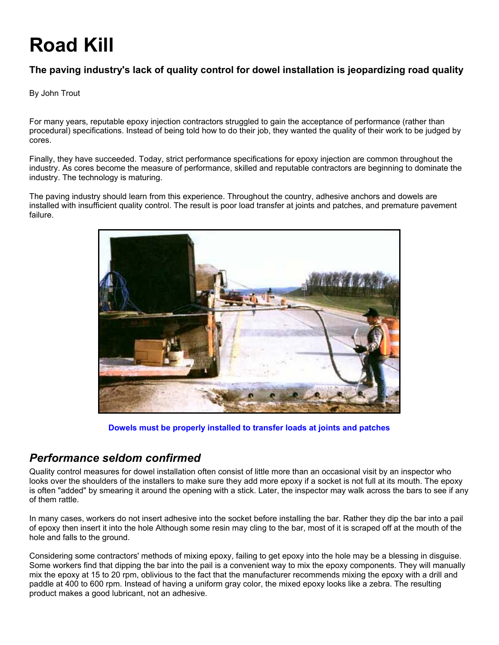# **Road Kill**

### **The paving industry's lack of quality control for dowel installation is jeopardizing road quality**

#### By John Trout

For many years, reputable epoxy injection contractors struggled to gain the acceptance of performance (rather than procedural) specifications. Instead of being told how to do their job, they wanted the quality of their work to be judged by cores.

Finally, they have succeeded. Today, strict performance specifications for epoxy injection are common throughout the industry. As cores become the measure of performance, skilled and reputable contractors are beginning to dominate the industry. The technology is maturing.

The paving industry should learn from this experience. Throughout the country, adhesive anchors and dowels are installed with insufficient quality control. The result is poor load transfer at joints and patches, and premature pavement failure.



**Dowels must be properly installed to transfer loads at joints and patches**

## *Performance seldom confirmed*

Quality control measures for dowel installation often consist of little more than an occasional visit by an inspector who looks over the shoulders of the installers to make sure they add more epoxy if a socket is not full at its mouth. The epoxy is often "added" by smearing it around the opening with a stick. Later, the inspector may walk across the bars to see if any of them rattle.

In many cases, workers do not insert adhesive into the socket before installing the bar. Rather they dip the bar into a pail of epoxy then insert it into the hole Although some resin may cling to the bar, most of it is scraped off at the mouth of the hole and falls to the ground.

Considering some contractors' methods of mixing epoxy, failing to get epoxy into the hole may be a blessing in disguise. Some workers find that dipping the bar into the pail is a convenient way to mix the epoxy components. They will manually mix the epoxy at 15 to 20 rpm, oblivious to the fact that the manufacturer recommends mixing the epoxy with a drill and paddle at 400 to 600 rpm. Instead of having a uniform gray color, the mixed epoxy looks like a zebra. The resulting product makes a good lubricant, not an adhesive.